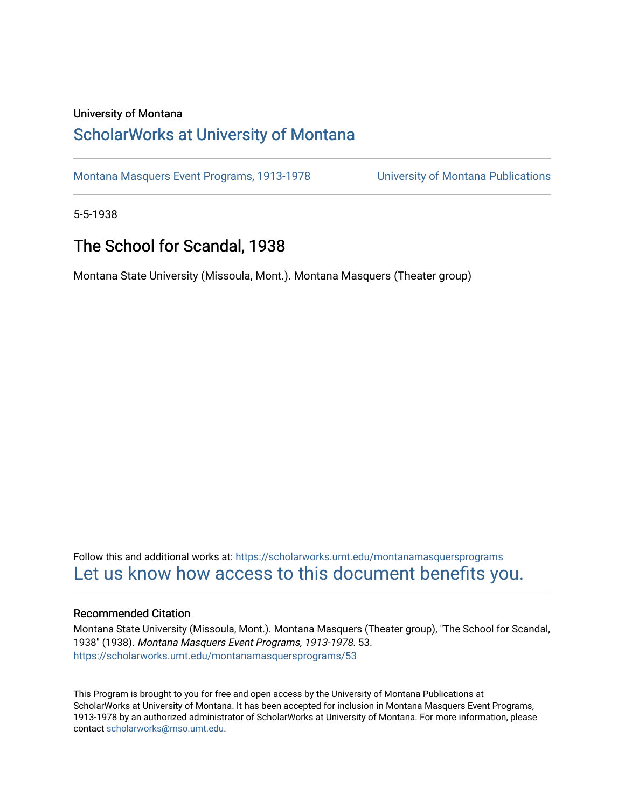#### University of Montana

# [ScholarWorks at University of Montana](https://scholarworks.umt.edu/)

[Montana Masquers Event Programs, 1913-1978](https://scholarworks.umt.edu/montanamasquersprograms) [University of Montana Publications](https://scholarworks.umt.edu/umpubs) 

5-5-1938

# The School for Scandal, 1938

Montana State University (Missoula, Mont.). Montana Masquers (Theater group)

Follow this and additional works at: [https://scholarworks.umt.edu/montanamasquersprograms](https://scholarworks.umt.edu/montanamasquersprograms?utm_source=scholarworks.umt.edu%2Fmontanamasquersprograms%2F53&utm_medium=PDF&utm_campaign=PDFCoverPages) [Let us know how access to this document benefits you.](https://goo.gl/forms/s2rGfXOLzz71qgsB2) 

#### Recommended Citation

Montana State University (Missoula, Mont.). Montana Masquers (Theater group), "The School for Scandal, 1938" (1938). Montana Masquers Event Programs, 1913-1978. 53. [https://scholarworks.umt.edu/montanamasquersprograms/53](https://scholarworks.umt.edu/montanamasquersprograms/53?utm_source=scholarworks.umt.edu%2Fmontanamasquersprograms%2F53&utm_medium=PDF&utm_campaign=PDFCoverPages) 

This Program is brought to you for free and open access by the University of Montana Publications at ScholarWorks at University of Montana. It has been accepted for inclusion in Montana Masquers Event Programs, 1913-1978 by an authorized administrator of ScholarWorks at University of Montana. For more information, please contact [scholarworks@mso.umt.edu](mailto:scholarworks@mso.umt.edu).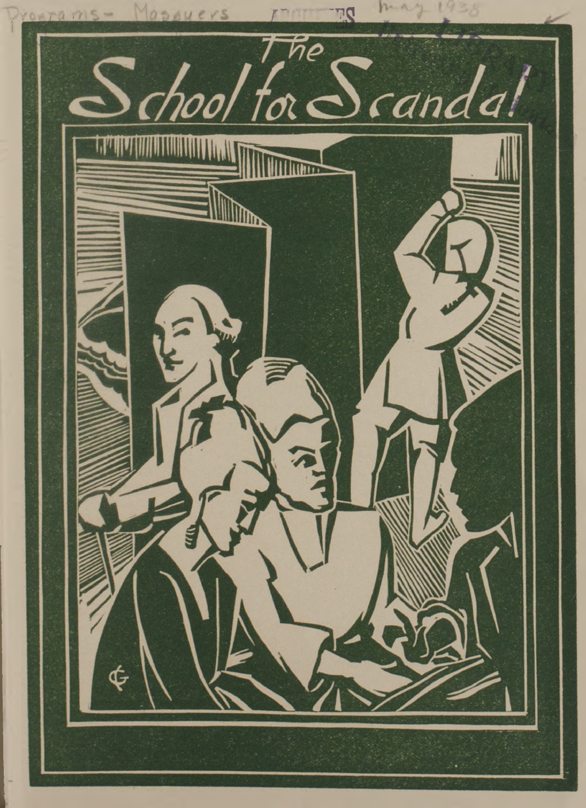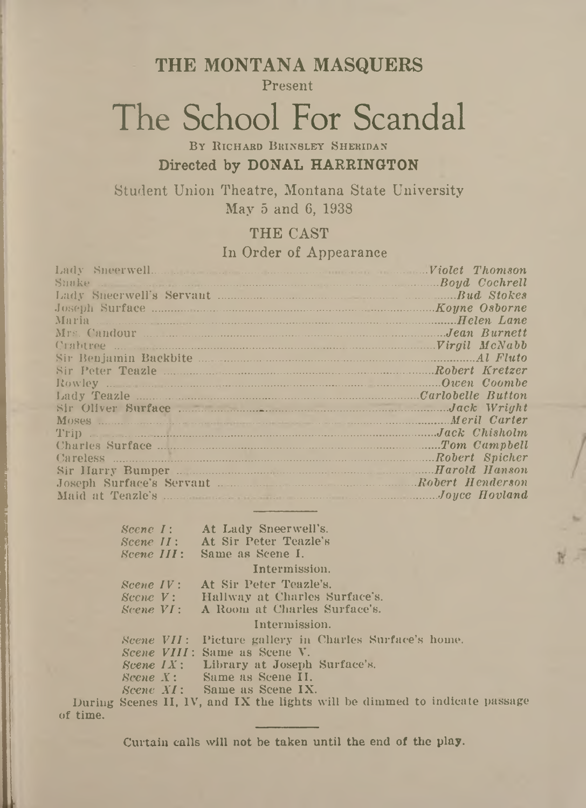**THE MONTANA MASQUERS**

Present

# The School For Scandal

BY RICHARD BRINSLEY SHERIDAN **Directed by DONAL HARRINGTON**

Student Union Theatre, Montana State University May 5 and 6, 1938

## THE CAST In Order of Appearance

| Suuke Boyd Cochrell                                                                                                                 |              |
|-------------------------------------------------------------------------------------------------------------------------------------|--------------|
|                                                                                                                                     |              |
|                                                                                                                                     |              |
| Maria <i>Helen Lane</i>                                                                                                             |              |
| Mrs. Candour Maria Communication of the Canada Burnett                                                                              |              |
|                                                                                                                                     |              |
|                                                                                                                                     |              |
| Sir Peter Teazle <b>Example 2018</b> Robert Kretzer                                                                                 |              |
|                                                                                                                                     | Owen Coombe  |
|                                                                                                                                     |              |
|                                                                                                                                     |              |
|                                                                                                                                     | Meril Carter |
| Moses Moses Martin Carter (Separate Schicker and Martin Carter Trip ) and Martin Carter (Separate Schicker and Martin Jack Chisholm |              |
|                                                                                                                                     |              |
| Careless Robert Spicher                                                                                                             |              |
|                                                                                                                                     |              |
| Joseph Surface's Servant Manuel Robert Henderson                                                                                    |              |
|                                                                                                                                     |              |

|                                  | Scene I: At Lady Sneerwell's.                               |
|----------------------------------|-------------------------------------------------------------|
| $Science II:$                    | At Sir Peter Teazle's                                       |
|                                  |                                                             |
| Scene III:                       | Same as Scene I.                                            |
|                                  | Intermission.                                               |
| $\textit{Science IV}:$           | At Sir Peter Teazle's.                                      |
|                                  | <i>Scene V</i> : Hallway at Charles Surface's.              |
|                                  | <i>Scene VI</i> : A Room at Charles Surface's.              |
|                                  | Intermission.                                               |
|                                  | Scene VII: Picture gallery in Charles Surface's home.       |
|                                  | Scene VIII: Same as Scene V.                                |
|                                  | <i>Scene <math>IX</math>:</i> Library at Joseph Surface's.  |
| $\textit{Score}$ $\cdot$ $\cdot$ | Same as Scene II.                                           |
|                                  | <i>Scene XI</i> : Same as Scene IX.                         |
|                                  | George II, IV, and IV the lights will be dimped to indicate |

During Scenes II, IV, and IX the lights will be dimmed to indicate passage of time.

Curtain calls will not be taken until the end of the play.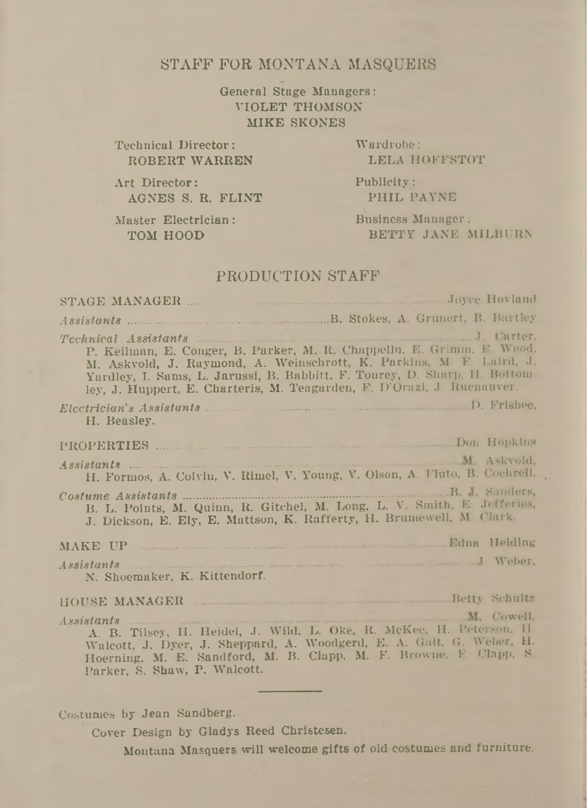### STAFF FOR MONTANA MASQUERS

General Stage Managers: VIOLET THOMSON MIKE SKONES

Technical Director: ROBERT WARREN Wardrobe: LELA HOFFSTOT

Art Director: AGNES S. R. FLINT Publicity: PHIL PAYNE

Master Electrician: TOM HOOD

Business Manager: BETTY JANE MILBURN

#### PRODUCTION STAFF

| P. Keilman, E. Conger, B. Parker, M. R. Chappellu, E. Grimm, F. Wood.<br>M. Askvold, J. Raymond, A. Weinschrott, K. Parkins, M. F. Laird, J.<br>Yardley, I. Sams, L. Jarussi, B. Babbitt, F. Tonrey, D. Sharp, H. Bottom-<br>ley, J. Huppert, E. Charteris, M. Teagarden, F. D'Orazi, J. Ruenauver. |  |  |
|-----------------------------------------------------------------------------------------------------------------------------------------------------------------------------------------------------------------------------------------------------------------------------------------------------|--|--|
| H. Beasley.                                                                                                                                                                                                                                                                                         |  |  |
|                                                                                                                                                                                                                                                                                                     |  |  |
| H. Formos, A. Colvin, V. Rimel, V. Young, V. Olson, A. Fluto, B. Cochrell.                                                                                                                                                                                                                          |  |  |
| B. L. Points, M. Quinn, R. Gitchel, M. Long, L. V. Smith, E. Jefferies,<br>J. Dickson, E. Ely, E. Mattson, K. Rafferty, H. Brumewell, M. Clark.                                                                                                                                                     |  |  |
| MAKE UP Edna Helding                                                                                                                                                                                                                                                                                |  |  |
| Assistants J. Weber,<br>N. Shoemaker, K. Kittendorf.                                                                                                                                                                                                                                                |  |  |
| HOUSE MANAGER MANAGER Schultz                                                                                                                                                                                                                                                                       |  |  |
| Assistants M. Cowell,<br>A. B. Tilsey, H. Heidel, J. Wild, L. Oke, R. McKee, H. Peterson, H.<br>Walcott, J. Dyer, J. Sheppard, A. Woodgerd, E. A. Galt, G. Weber, H.<br>Hoerning, M. E. Sandford, M. B. Clapp, M. F. Browne, F. Clapp, S.<br>Parker, S. Shaw, P. Walcott.                           |  |  |

#### Costumes by Jean Sandberg.

Cover Design by Gladys Reed Christesen.

Montana Masquers will welcome gifts of old costumes and furniture.